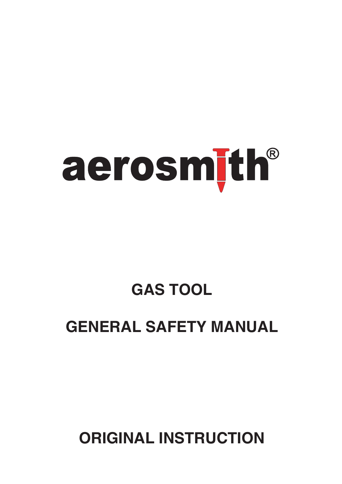

# **GAS TOOL**

## **GENERAL SAFETY MANUAL**

**ORIGINAL INSTRUCTION**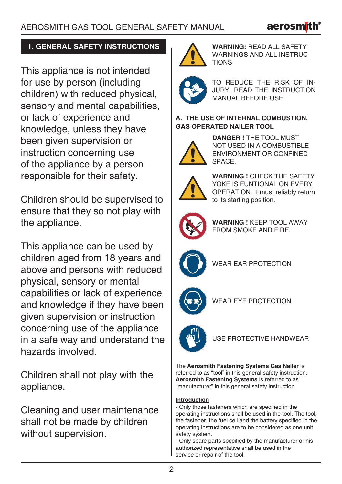

## **1. GENERAL SAFETY INSTRUCTIONS**

This appliance is not intended for use by person (including children) with reduced physical, sensory and mental capabilities. or lack of experience and knowledge, unless they have been given supervision or instruction concerning use of the appliance by a person responsible for their safety.

Children should be supervised to ensure that they so not play with the appliance.

This appliance can be used by children aged from 18 years and above and persons with reduced physical, sensory or mental capabilities or lack of experience and knowledge if they have been given supervision or instruction concerning use of the appliance in a safe way and understand the hazards involved.

Children shall not play with the appliance.

Cleaning and user maintenance shall not be made by children without supervision.



**WARNING:** READ ALL SAFETY WARNINGS AND ALL INSTRUC-**TIONS** 



TO REDUCE THE RISK OF IN-JURY, READ THE INSTRUCTION MANUAL BEFORE USE.

## **A. THE USE OF INTERNAL COMBUSTION, GAS OPERATED NAILER TOOL**



**DANGER !** THE TOOL MUST NOT USED IN A COMBUSTIBLE ENVIRONMENT OR CONFINED SPACE.



**WARNING !** CHECK THE SAFETY YOKE IS FUNTIONAL ON EVERY OPERATION. It must reliably return to its starting position.



**WARNING !** KEEP TOOL AWAY FROM SMOKE AND FIRE.



WEAR EAR PROTECTION



WEAR EYE PROTECTION



USE PROTECTIVE HANDWEAR

The **Aerosmith Fastening Systems Gas Nailer** is referred to as "tool" in this general safety instruction. **Aerosmith Fastening Systems** is referred to as "manufacturer" in this general safety instruction.

### **Introduction**

- Only those fasteners which are specified in the operating instructions shall be used in the tool. The tool, the fastener, the fuel cell and the battery specified in the operating instructions are to be considered as one unit safety system.

- Only spare parts specified by the manufacturer or his authorized representative shall be used in the service or repair of the tool.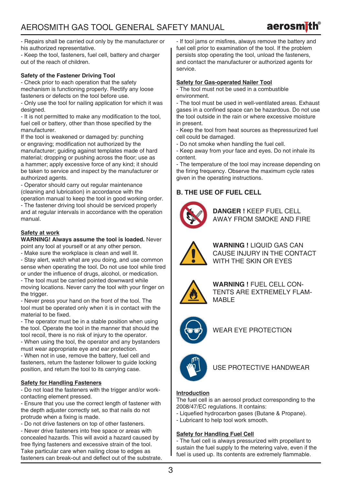

- Repairs shall be carried out only by the manufacturer or his authorized representative.

- Keep the tool, fasteners, fuel cell, battery and charger out of the reach of children.

#### **Safety of the Fastener Driving Tool**

- Check prior to each operation that the safety mechanism is functioning properly. Rectify any loose fasteners or defects on the tool before use.

- Only use the tool for nailing application for which it was designed.

- It is not permitted to make any modification to the tool. fuel cell or battery, other than those specified by the manufacturer.

If the tool is weakened or damaged by: punching or engraving; modification not authorized by the manufacturer; guiding against templates made of hard material; dropping or pushing across the floor; use as a hammer; apply excessive force of any kind; it should be taken to service and inspect by the manufacturer or authorized agents.

- Operator should carry out regular maintenance (cleaning and lubrication) in accordance with the operation manual to keep the tool in good working order.

- The fastener driving tool should be serviced properly and at regular intervals in accordance with the operation manual.

#### **Safety at work**

**WARNING! Always assume the tool is loaded.** Never point any tool at yourself or at any other person.

- Make sure the workplace is clean and well lit.

- Stay alert, watch what are you doing, and use common sense when operating the tool. Do not use tool while tired or under the influence of drugs, alcohol, or medication.

- The tool must be carried pointed downward while moving locations. Never carry the tool with your finger on the trigger.

- Never press your hand on the front of the tool. The tool must be operated only when it is in contact with the material to be fixed.

- The operator must be in a stable position when using the tool. Operate the tool in the manner that should the tool recoil, there is no risk of injury to the operator. - When using the tool, the operator and any bystanders must wear appropriate eye and ear protection.

- When not in use, remove the battery, fuel cell and fasteners, return the fastener follower to quide locking position, and return the tool to its carrying case.

#### **Safety for Handling Fasteners**

- Do not load the fasteners with the trigger and/or workcontacting element pressed.

- Ensure that you use the correct length of fastener with the depth adjuster correctly set, so that nails do not protrude when a fixing is made.

- Do not drive fasteners on top of other fasteners.

- Never drive fasteners into free space or areas with concealed hazards. This will avoid a hazard caused by free flying fasteners and excessive strain of the tool. Take particular care when nailing close to edges as fasteners can break-out and deflect out of the substrate. - If tool jams or misfires, always remove the battery and fuel cell prior to examination of the tool. If the problem persists stop operating the tool, unload the fasteners, and contact the manufacturer or authorized agents for service.

#### **Safety for Gas-operated Nailer Tool**

- The tool must not be used in a combustible environment.

- The tool must be used in well-ventilated areas. Exhaust gases in a confined space can be hazardous. Do not use the tool outside in the rain or where excessive moisture in present.

- Keep the tool from heat sources as thepressurized fuel cell could be damaged.

- Do not smoke when handling the fuel cell.
- Keep away from your face and eyes. Do not inhale its content.

The temperature of the tool may increase depending on the firing frequency. Observe the maximum cycle rates given in the operating instructions.

### **B. THE USE OF FUEL CELL**



**DANGER !** KEEP FUEL CELL AWAY FROM SMOKE AND FIRE



**WARNING !** LIQUID GAS CAN CAUSE INJURY IN THE CONTACT WITH THE SKIN OR EYES



**WARNING !** FUEL CELL CON-TENTS ARE EXTREMELY FLAM-MABI<sub>F</sub>



WEAR EYE PROTECTION



#### USE PROTECTIVE HANDWEAR

#### **Introduction**

The fuel cell is an aerosol product corresponding to the 2008/47/EC regulations. It contains:

- Liquefied hydrocarbon gases (Butane & Propane).
- Lubricant to help tool work smooth.

#### **Safety for Handling Fuel Cell**

- The fuel cell is always pressurized with propellant to sustain the fuel supply to the metering valve, even if the fuel is used up. Its contents are extremely flammable.